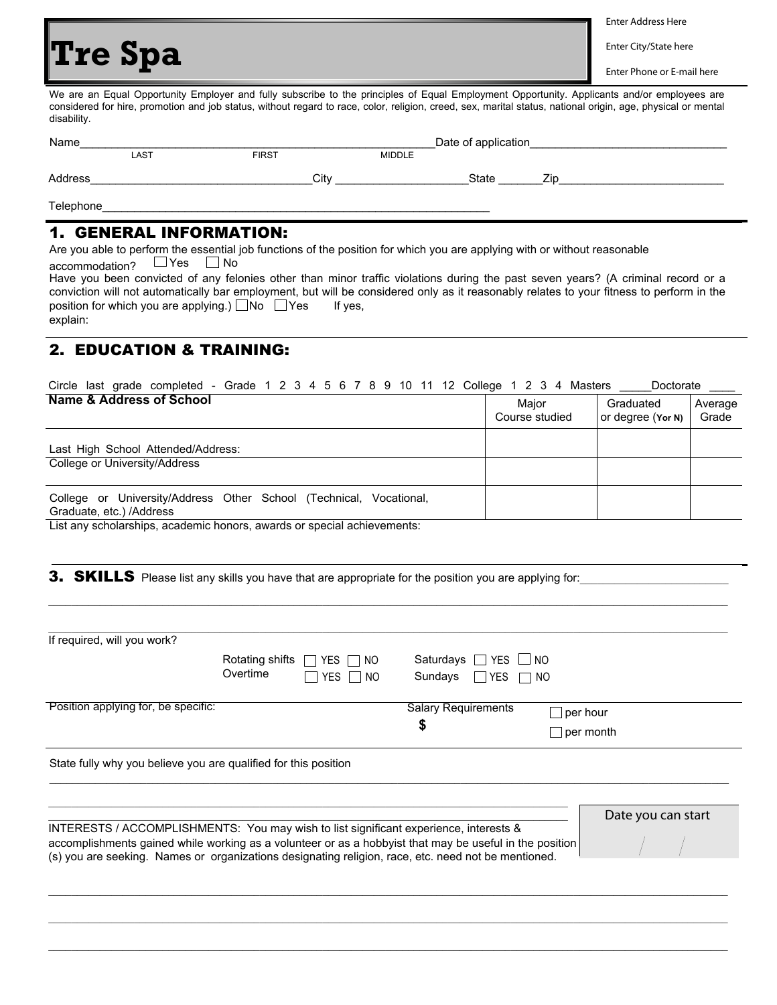## **Tre Spa**

Enter Address Here

Enter City/State here

Enter Phone or E-mail here

We are an Equal Opportunity Employer and fully subscribe to the principles of Equal Employment Opportunity. Applicants and/or employees are considered for hire, promotion and job status, without regard to race, color, religion, creed, sex, marital status, national origin, age, physical or mental disability.

| Name      |      |              |               | Date of application |     |
|-----------|------|--------------|---------------|---------------------|-----|
|           | LAST | <b>FIRST</b> | <b>MIDDLE</b> |                     |     |
| Address   |      | Citv         |               | <b>State</b>        | 7ir |
| Telephone |      |              |               |                     |     |

## 1. GENERAL INFORMATION:

Are you able to perform the essential job functions of the position for which you are applying with or without reasonable accommodation?  $\Box$  Yes  $\Box$  No

Have you been convicted of any felonies other than minor traffic violations during the past seven years? (A criminal record or a conviction will not automatically bar employment, but will be considered only as it reasonably relates to your fitness to perform in the position for which you are applying.)  $\Box$  No  $\Box$  Yes If yes, explain:

## 2. EDUCATION & TRAINING:

Circle last grade completed - Grade  $1 \ 2 \ 3 \ 4 \ 5 \ 6 \ 7 \ 8 \ 9 \ 10 \ 11 \ 12$  College  $1 \ 2 \ 3 \ 4$  Masters \_\_\_\_\_Doctorate

| Name & Address of School                                                                          | Maior<br>Course studied | Graduated<br>or degree (Yor N) | Average<br>Grade |
|---------------------------------------------------------------------------------------------------|-------------------------|--------------------------------|------------------|
| Last High School Attended/Address:                                                                |                         |                                |                  |
| College or University/Address                                                                     |                         |                                |                  |
| University/Address Other School (Technical, Vocational,<br>College or<br>Graduate, etc.) /Address |                         |                                |                  |

\_\_\_\_\_\_\_\_\_\_\_\_\_\_\_\_\_\_\_\_\_\_\_\_\_\_\_\_\_\_\_\_\_\_\_\_\_\_\_\_\_\_\_\_\_\_\_\_\_\_\_\_\_\_\_\_\_\_\_\_\_\_\_\_\_\_\_\_\_\_\_\_\_\_\_\_\_\_\_\_\_\_\_\_\_\_\_\_\_\_\_\_\_\_\_\_\_\_\_\_\_\_\_\_\_\_\_\_\_\_\_\_\_\_\_\_\_\_\_

List any scholarships, academic honors, awards or special achievements:

3. SKILLS Please list any skills you have that are appropriate for the position you are applying for:

| If required, will you work?                                                           |                                        |                                |                    |  |
|---------------------------------------------------------------------------------------|----------------------------------------|--------------------------------|--------------------|--|
|                                                                                       | Rotating shifts<br>$\Box$ Yes T<br>NO. | Saturdays $\Box$ YES $\Box$ NO |                    |  |
|                                                                                       | Overtime<br>YES<br>NO.                 | Sundays<br>IIYES<br>l.         | NO.                |  |
| Position applying for, be specific:                                                   |                                        | <b>Salary Requirements</b>     | $\perp$ per hour   |  |
|                                                                                       |                                        | \$<br>per month                |                    |  |
| State fully why you believe you are qualified for this position                       |                                        |                                |                    |  |
|                                                                                       |                                        |                                | Date you can start |  |
| INTERESTS / ACCOMPLISHMENTS: You may wish to list significant experience, interests & |                                        |                                |                    |  |

\_\_\_\_\_\_\_\_\_\_\_\_\_\_\_\_\_\_\_\_\_\_\_\_\_\_\_\_\_\_\_\_\_\_\_\_\_\_\_\_\_\_\_\_\_\_\_\_\_\_\_\_\_\_\_\_\_\_\_\_\_\_\_\_\_\_\_\_\_\_\_\_\_\_\_\_\_\_\_\_\_\_\_\_\_\_\_\_\_\_\_\_\_\_\_\_\_\_\_\_\_\_\_\_\_\_\_\_\_\_\_\_\_\_\_\_\_\_\_